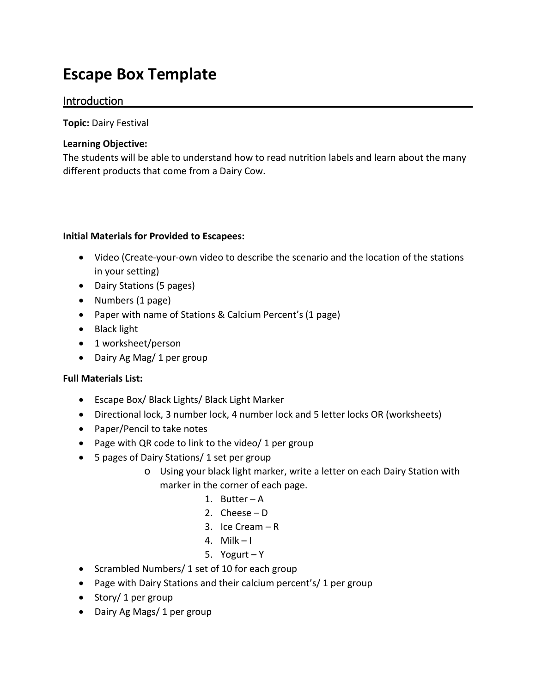## **Escape Box Template**

## Introduction

**Topic:** Dairy Festival

## **Learning Objective:**

The students will be able to understand how to read nutrition labels and learn about the many different products that come from a Dairy Cow.

## **Initial Materials for Provided to Escapees:**

- Video (Create-your-own video to describe the scenario and the location of the stations in your setting)
- Dairy Stations (5 pages)
- Numbers (1 page)
- Paper with name of Stations & Calcium Percent's (1 page)
- Black light
- 1 worksheet/person
- Dairy Ag Mag/ 1 per group

## **Full Materials List:**

- Escape Box/ Black Lights/ Black Light Marker
- Directional lock, 3 number lock, 4 number lock and 5 letter locks OR (worksheets)
- Paper/Pencil to take notes
- Page with QR code to link to the video/ 1 per group
- 5 pages of Dairy Stations/ 1 set per group
	- o Using your black light marker, write a letter on each Dairy Station with marker in the corner of each page.
		- 1. Butter A
		- 2. Cheese D
		- 3. Ice Cream R
		- 4. Milk  $-1$
		- 5. Yogurt Y
- Scrambled Numbers/ 1 set of 10 for each group
- Page with Dairy Stations and their calcium percent's/ 1 per group
- Story/1 per group
- Dairy Ag Mags/ 1 per group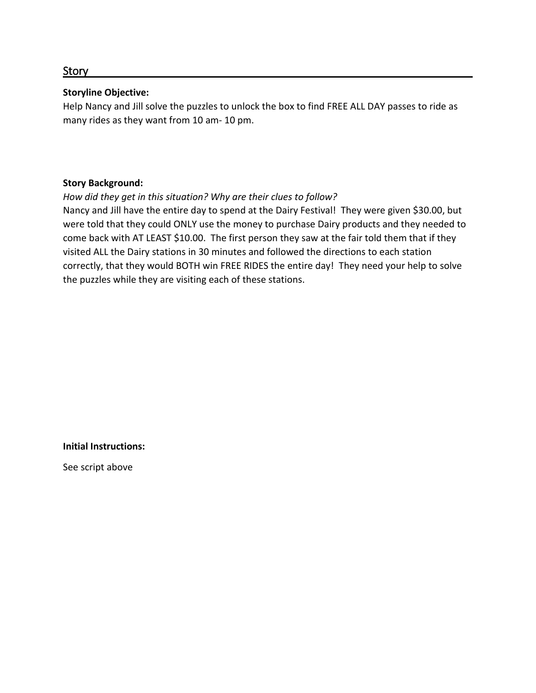#### Story

#### **Storyline Objective:**

Help Nancy and Jill solve the puzzles to unlock the box to find FREE ALL DAY passes to ride as many rides as they want from 10 am- 10 pm.

#### **Story Background:**

#### *How did they get in this situation? Why are their clues to follow?*

Nancy and Jill have the entire day to spend at the Dairy Festival! They were given \$30.00, but were told that they could ONLY use the money to purchase Dairy products and they needed to come back with AT LEAST \$10.00. The first person they saw at the fair told them that if they visited ALL the Dairy stations in 30 minutes and followed the directions to each station correctly, that they would BOTH win FREE RIDES the entire day! They need your help to solve the puzzles while they are visiting each of these stations.

**Initial Instructions:**

See script above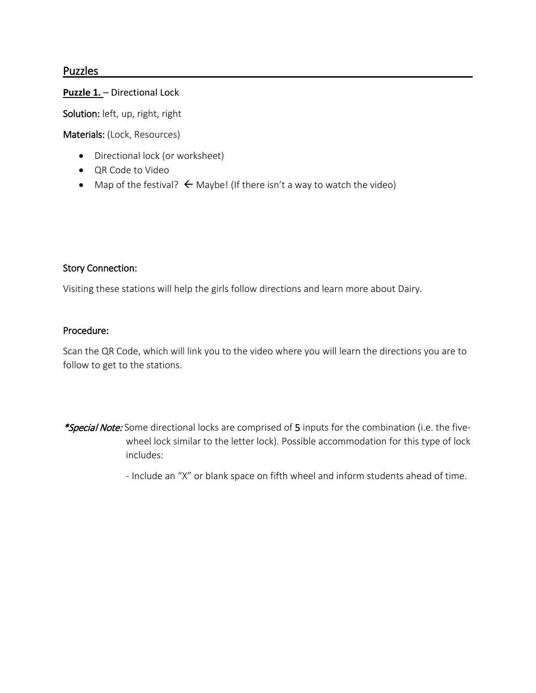### Puzzles

#### **Puzzle 1.** – Directional Lock

Solution: left, up, right, right

Materials: (Lock, Resources)

- Directional lock (or worksheet)
- QR Code to Video
- Map of the festival?  $\leftarrow$  Maybe! (If there isn't a way to watch the video)

#### Story Connection:

Visiting these stations will help the girls follow directions and learn more about Dairy.

#### Procedure:

Scan the QR Code, which will link you to the video where you will learn the directions you are to follow to get to the stations.

\*Special Note: Some directional locks are comprised of 5 inputs for the combination (i.e. the fivewheel lock similar to the letter lock). Possible accommodation for this type of lock includes:

- Include an "X" or blank space on fifth wheel and inform students ahead of time.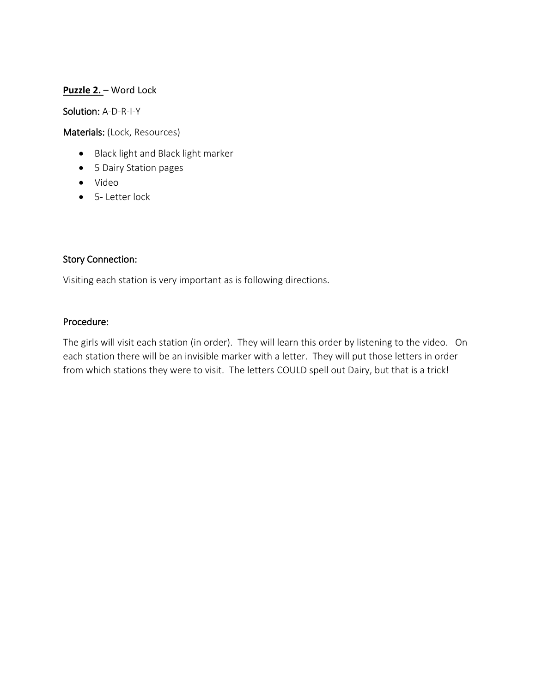#### **Puzzle 2.** – Word Lock

Solution: A-D-R-I-Y

Materials: (Lock, Resources)

- Black light and Black light marker
- 5 Dairy Station pages
- Video
- 5- Letter lock

#### Story Connection:

Visiting each station is very important as is following directions.

#### Procedure:

The girls will visit each station (in order). They will learn this order by listening to the video. On each station there will be an invisible marker with a letter. They will put those letters in order from which stations they were to visit. The letters COULD spell out Dairy, but that is a trick!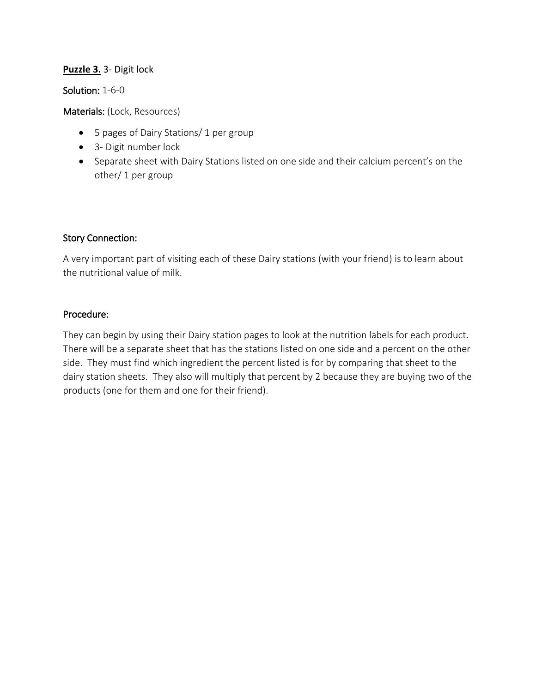## **Puzzle 3.** 3- Digit lock

Solution: 1-6-0

Materials: (Lock, Resources)

- 5 pages of Dairy Stations/ 1 per group
- 3- Digit number lock
- Separate sheet with Dairy Stations listed on one side and their calcium percent's on the other/ 1 per group

## Story Connection:

A very important part of visiting each of these Dairy stations (with your friend) is to learn about the nutritional value of milk.

#### Procedure:

They can begin by using their Dairy station pages to look at the nutrition labels for each product. There will be a separate sheet that has the stations listed on one side and a percent on the other side. They must find which ingredient the percent listed is for by comparing that sheet to the dairy station sheets. They also will multiply that percent by 2 because they are buying two of the products (one for them and one for their friend).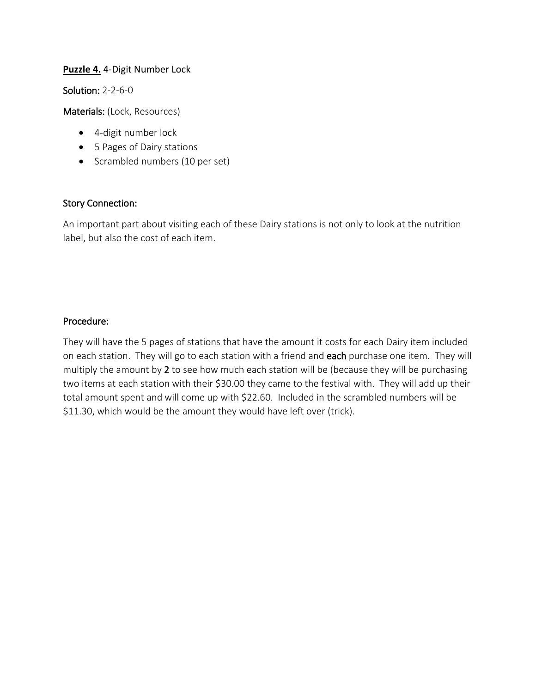#### **Puzzle 4.** 4-Digit Number Lock

Solution: 2-2-6-0

Materials: (Lock, Resources)

- 4-digit number lock
- 5 Pages of Dairy stations
- Scrambled numbers (10 per set)

#### Story Connection:

An important part about visiting each of these Dairy stations is not only to look at the nutrition label, but also the cost of each item.

#### Procedure:

They will have the 5 pages of stations that have the amount it costs for each Dairy item included on each station. They will go to each station with a friend and each purchase one item. They will multiply the amount by 2 to see how much each station will be (because they will be purchasing two items at each station with their \$30.00 they came to the festival with. They will add up their total amount spent and will come up with \$22.60. Included in the scrambled numbers will be \$11.30, which would be the amount they would have left over (trick).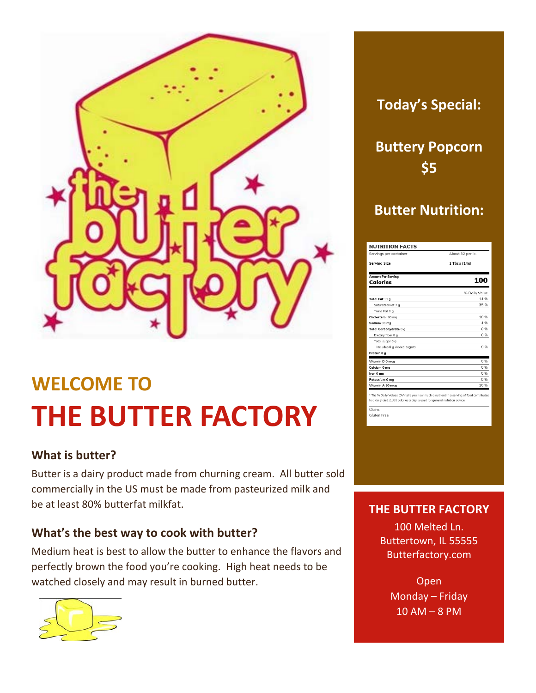

# **WELCOME TO THE BUTTER FACTORY**

## **What is butter?**

Butter is a dairy product made from churning cream. All butter sold commercially in the US must be made from pasteurized milk and be at least 80% butterfat milkfat.

## **What's the best way to cook with butter?**

Medium heat is best to allow the butter to enhance the flavors and perfectly brown the food you're cooking. High heat needs to be watched closely and may result in burned butter.



## **Today's Special:**

**Buttery Popcorn \$5**

## **Butter Nutrition:**

| <b>NUTRITION FACTS</b>                                                                                                                                                  |                  |
|-------------------------------------------------------------------------------------------------------------------------------------------------------------------------|------------------|
| Servings per container                                                                                                                                                  | About 32 per lb. |
| <b>Serving Size</b>                                                                                                                                                     | 1 Tbsp (14g)     |
| <b>Amount Per Serving</b>                                                                                                                                               |                  |
| Calories                                                                                                                                                                | 100              |
|                                                                                                                                                                         | % Daily Value    |
| Total Fat 11 a                                                                                                                                                          | 14 %             |
| Saturated Fat 7 g                                                                                                                                                       | 35%              |
| Trans Fat 0 g                                                                                                                                                           |                  |
| Cholesterol 30 mg                                                                                                                                                       | 10 %             |
| Sodium 90 mg                                                                                                                                                            | 4 %              |
| Total Carbohydrate 0 g                                                                                                                                                  | 0.96             |
| Dietary fiber 0 g                                                                                                                                                       | 0.96             |
| Total sugar 0 g                                                                                                                                                         |                  |
| Includes 0 g Added sugars                                                                                                                                               | 0%               |
| Protein 0 g                                                                                                                                                             |                  |
| Vitamin D 0 mca                                                                                                                                                         | 0.96             |
| Calcium 0 mg                                                                                                                                                            | 0.96             |
| Iron 0 mg                                                                                                                                                               | 0.96             |
| Potassium 0 mg                                                                                                                                                          | 0.96             |
| Vitamin A 90 mca                                                                                                                                                        | 10.96            |
| * The % Daily Values (DV) tells you how much a nutrient in a serving of food contributes<br>to a daily diet. 2,000 calories a day is used for general nutrition advice. |                  |
| Claim:                                                                                                                                                                  |                  |
| Gluten Free                                                                                                                                                             |                  |

## **THE BUTTER FACTORY**

100 Melted Ln. Buttertown, IL 55555 Butterfactory.com

> Open Monday – Friday 10 AM – 8 PM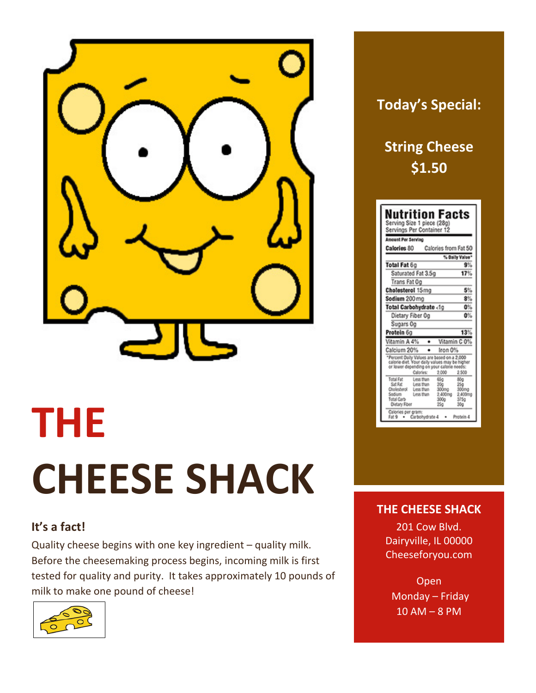

# **THE CHEESE SHACK**

## **It's a fact!**

Quality cheese begins with one key ingredient – quality milk. Before the cheesemaking process begins, incoming milk is first tested for quality and purity. It takes approximately 10 pounds of milk to make one pound of cheese!



## **Today's Special:**

## **String Cheese \$1.50**

| <b>Amount Per Serving</b>                                                                                                                                     |                                                                                                            |
|---------------------------------------------------------------------------------------------------------------------------------------------------------------|------------------------------------------------------------------------------------------------------------|
| Calories 80 Calories from Fat 50                                                                                                                              |                                                                                                            |
|                                                                                                                                                               | % Daily Value*                                                                                             |
| Total Fat 6g                                                                                                                                                  | 9%                                                                                                         |
| Saturated Fat 3.5g                                                                                                                                            | 17%                                                                                                        |
| Trans Fat Oo                                                                                                                                                  |                                                                                                            |
| Cholesterol 15mg                                                                                                                                              | 5%                                                                                                         |
| Sodium 200 ma                                                                                                                                                 | 8%                                                                                                         |
| Total Carbohydrate <1g                                                                                                                                        | 0%                                                                                                         |
| Dietary Fiber Og                                                                                                                                              | 0%                                                                                                         |
| Sugars Og                                                                                                                                                     |                                                                                                            |
| Protein 6g                                                                                                                                                    | 13%                                                                                                        |
| Vitamin A 4%                                                                                                                                                  | Vitamin C 0%                                                                                               |
| Calcium 20%                                                                                                                                                   | Iron 0%                                                                                                    |
| *Percent Daily Values are based on a 2,000<br>calorie diet. Your daily values may be higher<br>or lower depending on your calorie needs:<br>Calories:         | 2.000<br>2500                                                                                              |
| Tetal Fat<br>Less than<br>Sat Fat<br>Less than<br>Cholesterol<br>Less than<br>Sodium<br>Less than<br>Total Carb<br><b>Dietary Fiber</b><br>Calories per gram: | 65a<br>80a<br>20a<br>25g<br>300 <sub>mg</sub><br>300mg<br>2.400mg<br>2.400mg<br>300g<br>375a<br>25a<br>30a |

## **THE CHEESE SHACK**

201 Cow Blvd. Dairyville, IL 00000 Cheeseforyou.com

Open Monday – Friday 10 AM – 8 PM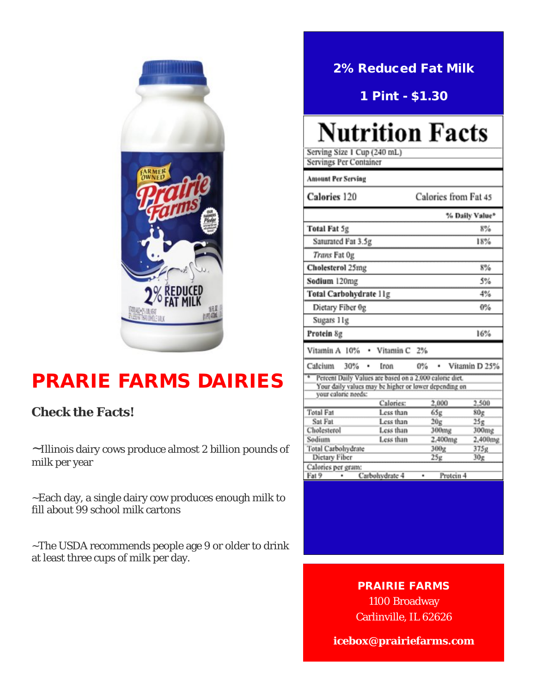

## PRARIE FARMS DAIRIES

## **Check the Facts!**

~Illinois dairy cows produce almost 2 billion pounds of milk per year

~Each day, a single dairy cow produces enough milk to fill about 99 school milk cartons

~The USDA recommends people age 9 or older to drink at least three cups of milk per day.

## 2% Reduced Fat Milk

1 Pint - \$1.30

# **Nutrition Facts**

Serving Size 1 Cup (240 mL) **Servings Per Container Amount Per Serving** Calories 120 Calories from Fat 45 % Daily Value\* Total Fat 5g  $8%$ Saturated Fat 3.5g 18% Trans Fat Og Cholesterol 25mg  $8%$ Sodium 120mg 5% Total Carbohydrate 11g 4% Dietary Fiber 0g  $0%$ Sugars 11g 16% Protein 8g Vitamin A 10% Vitamin<sub>C</sub>  $2%$ ٠ Calcium 30% · Vitamin D 25% ٠ Iron  $0\%$ Percent Daily Values are based on a 2,000 calorie diet. Your daily values may be higher or lower depending on your caloric needs: 2,000 2.500 Calories: Total Fat Less than 65g  $80<sub>g</sub>$  $25g$  $20g$ Sat Fat Less than 300mg 300mg Cholesterol Less than Sodium Less than 2,400mg 2,400mg 300g Total Carbohydrate 375g

## PRAIRIE FARMS

Carbohydrate 4

 $25g$ 

Protein 4

 $30<sub>g</sub>$ 

Dictary Fiber

Fat 9

Calories per gram:

 $\bullet$ 

1100 Broadway Carlinville, IL 62626

**icebox@prairiefarms.com**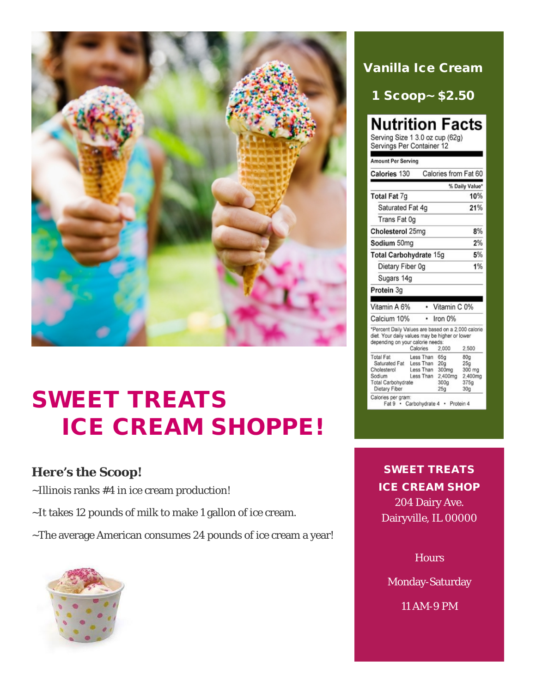

# SWEET TREATS ICE CREAM SHOPPE!

## **Here's the Scoop!**

~Illinois ranks #4 in ice cream production!

- ~It takes 12 pounds of milk to make 1 gallon of ice cream.
- ~The average American consumes 24 pounds of ice cream a year!



## Vanilla Ice Cream

1 Scoop~ \$2.50

## **Nutrition Facts**

Serving Size 1 3.0 oz cup (62g) Servings Per Container 12

| Calories 130                                                                                                                                          | Calories from Fat 60                                                  |                                                                                                |
|-------------------------------------------------------------------------------------------------------------------------------------------------------|-----------------------------------------------------------------------|------------------------------------------------------------------------------------------------|
|                                                                                                                                                       |                                                                       | % Daily Value*                                                                                 |
| Total Fat 7g                                                                                                                                          |                                                                       | 10%                                                                                            |
| Saturated Fat 4q                                                                                                                                      |                                                                       | 21%                                                                                            |
| Trans Fat 0g                                                                                                                                          |                                                                       |                                                                                                |
| Cholesterol 25mg                                                                                                                                      |                                                                       | 8%                                                                                             |
| Sodium 50mg                                                                                                                                           |                                                                       | 2%                                                                                             |
| <b>Total Carbohydrate 15g</b>                                                                                                                         |                                                                       | 5%                                                                                             |
| Dietary Fiber 0q                                                                                                                                      |                                                                       | 1%                                                                                             |
| Sugars 14g                                                                                                                                            |                                                                       |                                                                                                |
| Protein 3g                                                                                                                                            |                                                                       |                                                                                                |
| Vitamin A 6%                                                                                                                                          | Vitamin C 0%                                                          |                                                                                                |
|                                                                                                                                                       |                                                                       |                                                                                                |
| Calcium 10%<br>٠                                                                                                                                      | Iron 0%                                                               |                                                                                                |
| *Percent Daily Values are based on a 2,000 calorie<br>diet. Your daily values may be higher or lower<br>depending on your calorie needs:<br>Calories  | 2.000                                                                 | 2.500                                                                                          |
| <b>Total Fat</b><br>Less Than<br>Saturated Fat<br>Less Than<br>Less Than<br>Cholesterol<br>Less Than<br>Sodium<br>Total Carbohydrate<br>Dietary Fiber | 65g<br>20 <sub>a</sub><br>300mg<br>2.400mg<br>300 <sub>a</sub><br>25q | 80 <sub>Q</sub><br>25 <sub>a</sub><br>300 mg<br>2.400mg<br>375 <sub>q</sub><br>30 <sub>g</sub> |

SWEET TREATS ICE CREAM SHOP 204 Dairy Ave. Dairyville, IL 00000

**Hours** 

Monday-Saturday

11 AM-9 PM